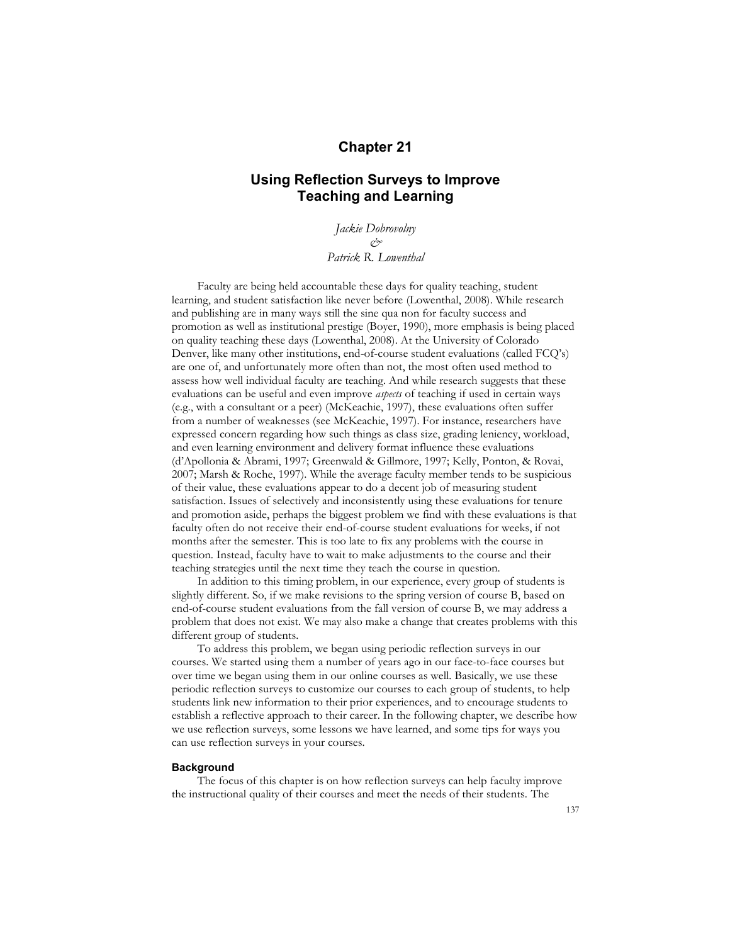# **Chapter 21**

# **Using Reflection Surveys to Improve Teaching and Learning**

*Jackie Dobrovolny & Patrick R. Lowenthal* 

Faculty are being held accountable these days for quality teaching, student learning, and student satisfaction like never before (Lowenthal, 2008). While research and publishing are in many ways still the sine qua non for faculty success and promotion as well as institutional prestige (Boyer, 1990), more emphasis is being placed on quality teaching these days (Lowenthal, 2008). At the University of Colorado Denver, like many other institutions, end-of-course student evaluations (called FCQ's) are one of, and unfortunately more often than not, the most often used method to assess how well individual faculty are teaching. And while research suggests that these evaluations can be useful and even improve *aspects* of teaching if used in certain ways (e.g., with a consultant or a peer) (McKeachie, 1997), these evaluations often suffer from a number of weaknesses (see McKeachie, 1997). For instance, researchers have expressed concern regarding how such things as class size, grading leniency, workload, and even learning environment and delivery format influence these evaluations (d'Apollonia & Abrami, 1997; Greenwald & Gillmore, 1997; Kelly, Ponton, & Rovai, 2007; Marsh & Roche, 1997). While the average faculty member tends to be suspicious of their value, these evaluations appear to do a decent job of measuring student satisfaction. Issues of selectively and inconsistently using these evaluations for tenure and promotion aside, perhaps the biggest problem we find with these evaluations is that faculty often do not receive their end-of-course student evaluations for weeks, if not months after the semester. This is too late to fix any problems with the course in question. Instead, faculty have to wait to make adjustments to the course and their teaching strategies until the next time they teach the course in question.

In addition to this timing problem, in our experience, every group of students is slightly different. So, if we make revisions to the spring version of course B, based on end-of-course student evaluations from the fall version of course B, we may address a problem that does not exist. We may also make a change that creates problems with this different group of students.

To address this problem, we began using periodic reflection surveys in our courses. We started using them a number of years ago in our face-to-face courses but over time we began using them in our online courses as well. Basically, we use these periodic reflection surveys to customize our courses to each group of students, to help students link new information to their prior experiences, and to encourage students to establish a reflective approach to their career. In the following chapter, we describe how we use reflection surveys, some lessons we have learned, and some tips for ways you can use reflection surveys in your courses.

### **Background**

The focus of this chapter is on how reflection surveys can help faculty improve the instructional quality of their courses and meet the needs of their students. The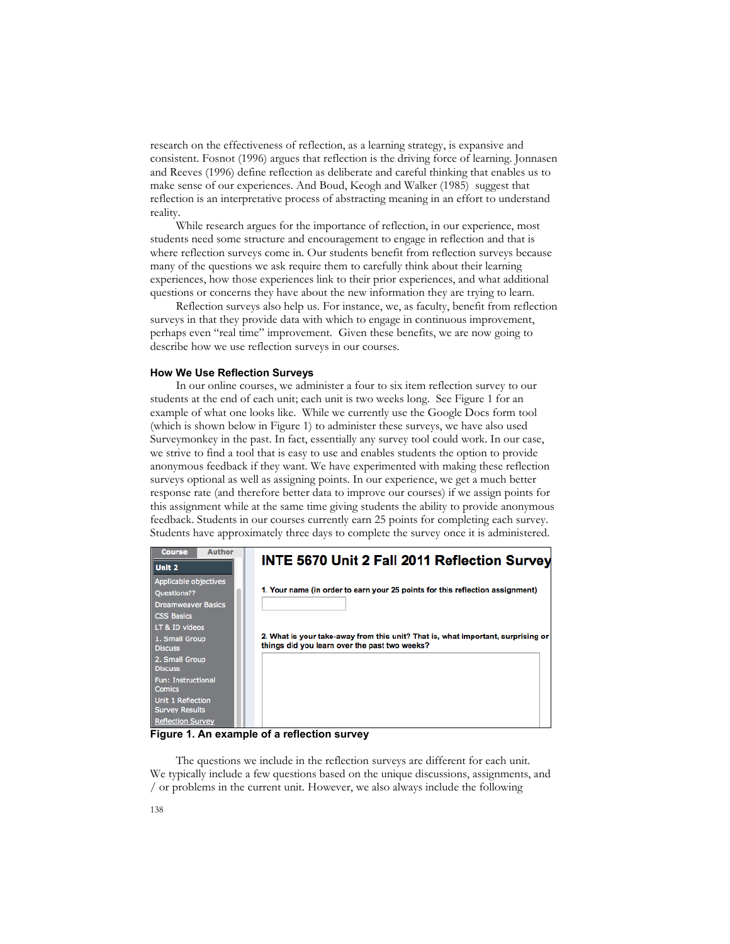research on the effectiveness of reflection, as a learning strategy, is expansive and consistent. Fosnot (1996) argues that reflection is the driving force of learning. Jonnasen and Reeves (1996) define reflection as deliberate and careful thinking that enables us to make sense of our experiences. And Boud, Keogh and Walker (1985) suggest that reflection is an interpretative process of abstracting meaning in an effort to understand reality.

While research argues for the importance of reflection, in our experience, most students need some structure and encouragement to engage in reflection and that is where reflection surveys come in. Our students benefit from reflection surveys because many of the questions we ask require them to carefully think about their learning experiences, how those experiences link to their prior experiences, and what additional questions or concerns they have about the new information they are trying to learn.

Reflection surveys also help us. For instance, we, as faculty, benefit from reflection surveys in that they provide data with which to engage in continuous improvement, perhaps even "real time" improvement. Given these benefits, we are now going to describe how we use reflection surveys in our courses.

#### **How We Use Reflection Surveys**

In our online courses, we administer a four to six item reflection survey to our students at the end of each unit; each unit is two weeks long. See Figure 1 for an example of what one looks like. While we currently use the Google Docs form tool (which is shown below in Figure 1) to administer these surveys, we have also used Surveymonkey in the past. In fact, essentially any survey tool could work. In our case, we strive to find a tool that is easy to use and enables students the option to provide anonymous feedback if they want. We have experimented with making these reflection surveys optional as well as assigning points. In our experience, we get a much better response rate (and therefore better data to improve our courses) if we assign points for this assignment while at the same time giving students the ability to provide anonymous feedback. Students in our courses currently earn 25 points for completing each survey. Students have approximately three days to complete the survey once it is administered.



**Figure 1. An example of a reflection survey**

The questions we include in the reflection surveys are different for each unit. We typically include a few questions based on the unique discussions, assignments, and / or problems in the current unit. However, we also always include the following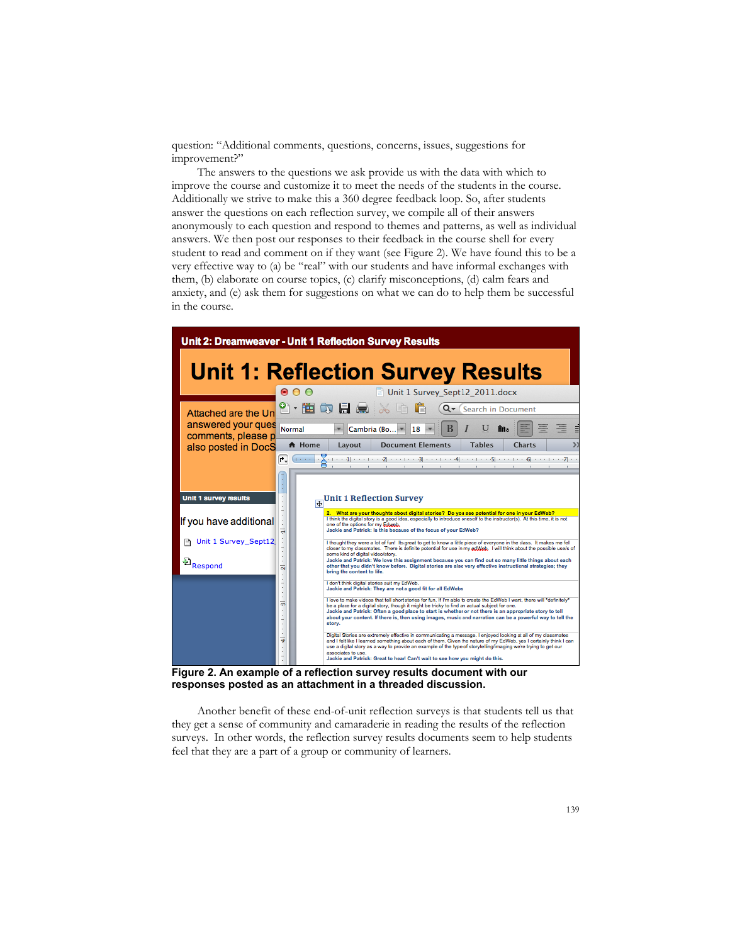question: "Additional comments, questions, concerns, issues, suggestions for improvement?"

The answers to the questions we ask provide us with the data with which to improve the course and customize it to meet the needs of the students in the course. Additionally we strive to make this a 360 degree feedback loop. So, after students answer the questions on each reflection survey, we compile all of their answers anonymously to each question and respond to themes and patterns, as well as individual answers. We then post our responses to their feedback in the course shell for every student to read and comment on if they want (see Figure 2). We have found this to be a very effective way to (a) be "real" with our students and have informal exchanges with them, (b) elaborate on course topics, (c) clarify misconceptions, (d) calm fears and anxiety, and (e) ask them for suggestions on what we can do to help them be successful in the course.



**Figure 2. An example of a reflection survey results document with our responses posted as an attachment in a threaded discussion.**

Another benefit of these end-of-unit reflection surveys is that students tell us that they get a sense of community and camaraderie in reading the results of the reflection surveys. In other words, the reflection survey results documents seem to help students feel that they are a part of a group or community of learners.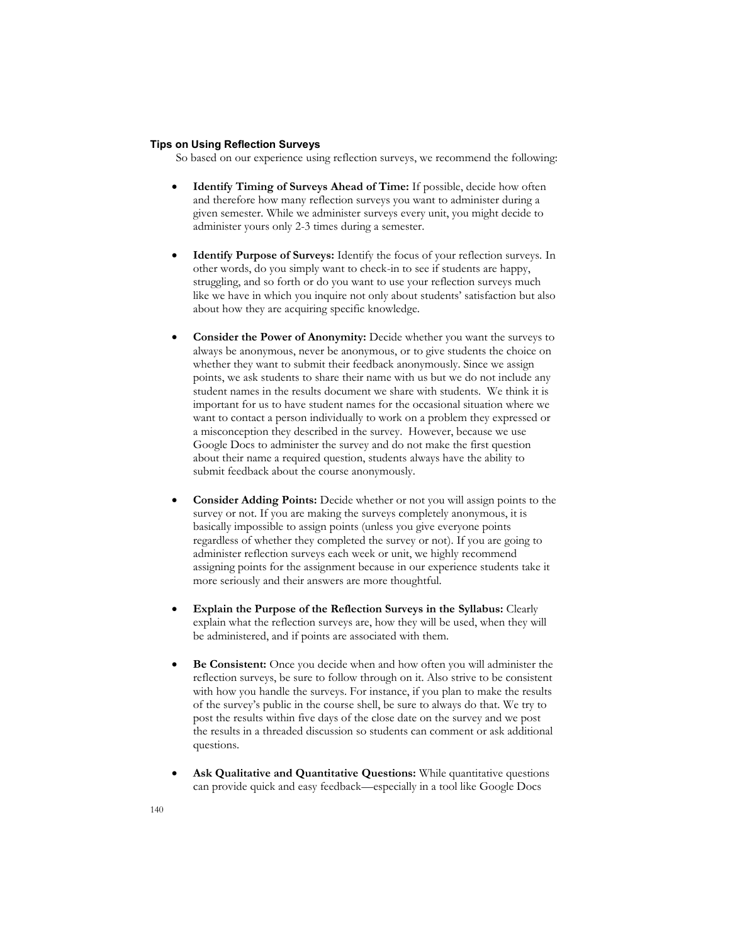### **Tips on Using Reflection Surveys**

So based on our experience using reflection surveys, we recommend the following:

- **Identify Timing of Surveys Ahead of Time:** If possible, decide how often and therefore how many reflection surveys you want to administer during a given semester. While we administer surveys every unit, you might decide to administer yours only 2-3 times during a semester.
- **Identify Purpose of Surveys:** Identify the focus of your reflection surveys. In other words, do you simply want to check-in to see if students are happy, struggling, and so forth or do you want to use your reflection surveys much like we have in which you inquire not only about students' satisfaction but also about how they are acquiring specific knowledge.
- **Consider the Power of Anonymity:** Decide whether you want the surveys to always be anonymous, never be anonymous, or to give students the choice on whether they want to submit their feedback anonymously. Since we assign points, we ask students to share their name with us but we do not include any student names in the results document we share with students. We think it is important for us to have student names for the occasional situation where we want to contact a person individually to work on a problem they expressed or a misconception they described in the survey. However, because we use Google Docs to administer the survey and do not make the first question about their name a required question, students always have the ability to submit feedback about the course anonymously.
- **Consider Adding Points:** Decide whether or not you will assign points to the survey or not. If you are making the surveys completely anonymous, it is basically impossible to assign points (unless you give everyone points regardless of whether they completed the survey or not). If you are going to administer reflection surveys each week or unit, we highly recommend assigning points for the assignment because in our experience students take it more seriously and their answers are more thoughtful.
- **Explain the Purpose of the Reflection Surveys in the Syllabus:** Clearly explain what the reflection surveys are, how they will be used, when they will be administered, and if points are associated with them.
- **Be Consistent:** Once you decide when and how often you will administer the reflection surveys, be sure to follow through on it. Also strive to be consistent with how you handle the surveys. For instance, if you plan to make the results of the survey's public in the course shell, be sure to always do that. We try to post the results within five days of the close date on the survey and we post the results in a threaded discussion so students can comment or ask additional questions.
- **Ask Qualitative and Quantitative Questions:** While quantitative questions can provide quick and easy feedback—especially in a tool like Google Docs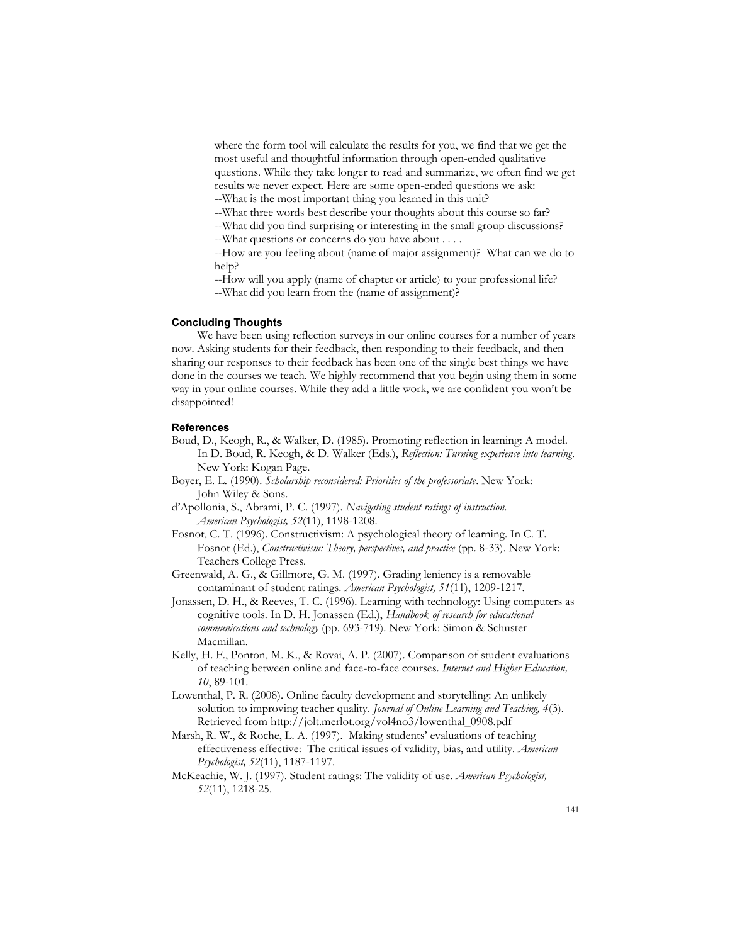where the form tool will calculate the results for you, we find that we get the most useful and thoughtful information through open-ended qualitative questions. While they take longer to read and summarize, we often find we get results we never expect. Here are some open-ended questions we ask:

--What is the most important thing you learned in this unit?

--What three words best describe your thoughts about this course so far?

--What did you find surprising or interesting in the small group discussions?

--What questions or concerns do you have about . . . .

--How are you feeling about (name of major assignment)? What can we do to help?

--How will you apply (name of chapter or article) to your professional life?

--What did you learn from the (name of assignment)?

## **Concluding Thoughts**

We have been using reflection surveys in our online courses for a number of years now. Asking students for their feedback, then responding to their feedback, and then sharing our responses to their feedback has been one of the single best things we have done in the courses we teach. We highly recommend that you begin using them in some way in your online courses. While they add a little work, we are confident you won't be disappointed!

#### **References**

- Boud, D., Keogh, R., & Walker, D. (1985). Promoting reflection in learning: A model. In D. Boud, R. Keogh, & D. Walker (Eds.), *Reflection: Turning experience into learning*. New York: Kogan Page.
- Boyer, E. L. (1990). *Scholarship reconsidered: Priorities of the professoriate*. New York: John Wiley & Sons.
- d'Apollonia, S., Abrami, P. C. (1997). *Navigating student ratings of instruction. American Psychologist, 52*(11), 1198-1208.
- Fosnot, C. T. (1996). Constructivism: A psychological theory of learning. In C. T. Fosnot (Ed.), *Constructivism: Theory, perspectives, and practice* (pp. 8-33). New York: Teachers College Press.
- Greenwald, A. G., & Gillmore, G. M. (1997). Grading leniency is a removable contaminant of student ratings. *American Psychologist, 51*(11), 1209-1217.
- Jonassen, D. H., & Reeves, T. C. (1996). Learning with technology: Using computers as cognitive tools. In D. H. Jonassen (Ed.), *Handbook of research for educational communications and technology* (pp. 693-719). New York: Simon & Schuster Macmillan.
- Kelly, H. F., Ponton, M. K., & Rovai, A. P. (2007). Comparison of student evaluations of teaching between online and face-to-face courses. *Internet and Higher Education, 10*, 89-101.
- Lowenthal, P. R. (2008). Online faculty development and storytelling: An unlikely solution to improving teacher quality. *Journal of Online Learning and Teaching, 4*(3). Retrieved from http://jolt.merlot.org/vol4no3/lowenthal\_0908.pdf
- Marsh, R. W., & Roche, L. A. (1997). Making students' evaluations of teaching effectiveness effective: The critical issues of validity, bias, and utility. *American Psychologist, 52*(11), 1187-1197.
- McKeachie, W. J. (1997). Student ratings: The validity of use. *American Psychologist, 52*(11), 1218-25.